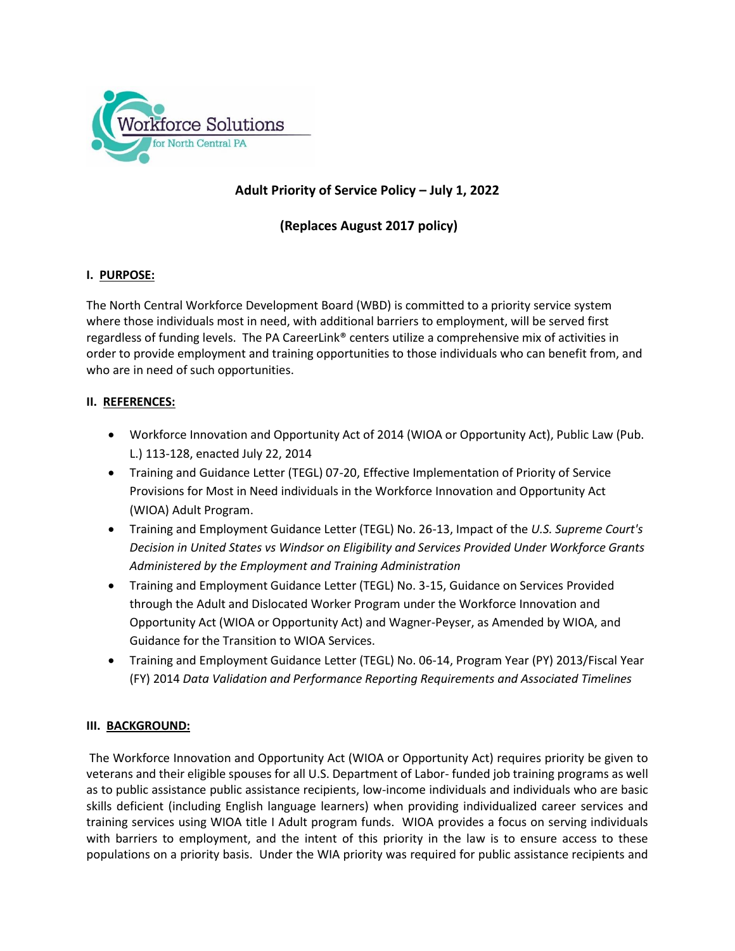

# **Adult Priority of Service Policy – July 1, 2022**

**(Replaces August 2017 policy)**

### **I. PURPOSE:**

The North Central Workforce Development Board (WBD) is committed to a priority service system where those individuals most in need, with additional barriers to employment, will be served first regardless of funding levels. The PA CareerLink® centers utilize a comprehensive mix of activities in order to provide employment and training opportunities to those individuals who can benefit from, and who are in need of such opportunities.

### **II. REFERENCES:**

- Workforce Innovation and Opportunity Act of 2014 (WIOA or Opportunity Act), Public Law (Pub. L.) 113-128, enacted July 22, 2014
- Training and Guidance Letter (TEGL) 07-20, Effective Implementation of Priority of Service Provisions for Most in Need individuals in the Workforce Innovation and Opportunity Act (WIOA) Adult Program.
- Training and Employment Guidance Letter (TEGL) No. 26-13, Impact of the *U.S. Supreme Court's Decision in United States vs Windsor on Eligibility and Services Provided Under Workforce Grants Administered by the Employment and Training Administration*
- Training and Employment Guidance Letter (TEGL) No. 3-15, Guidance on Services Provided through the Adult and Dislocated Worker Program under the Workforce Innovation and Opportunity Act (WIOA or Opportunity Act) and Wagner-Peyser, as Amended by WIOA, and Guidance for the Transition to WIOA Services.
- Training and Employment Guidance Letter (TEGL) No. 06-14, Program Year (PY) 2013/Fiscal Year (FY) 2014 *Data Validation and Performance Reporting Requirements and Associated Timelines*

### **III. BACKGROUND:**

The Workforce Innovation and Opportunity Act (WIOA or Opportunity Act) requires priority be given to veterans and their eligible spouses for all U.S. Department of Labor- funded job training programs as well as to public assistance public assistance recipients, low-income individuals and individuals who are basic skills deficient (including English language learners) when providing individualized career services and training services using WIOA title I Adult program funds. WIOA provides a focus on serving individuals with barriers to employment, and the intent of this priority in the law is to ensure access to these populations on a priority basis. Under the WIA priority was required for public assistance recipients and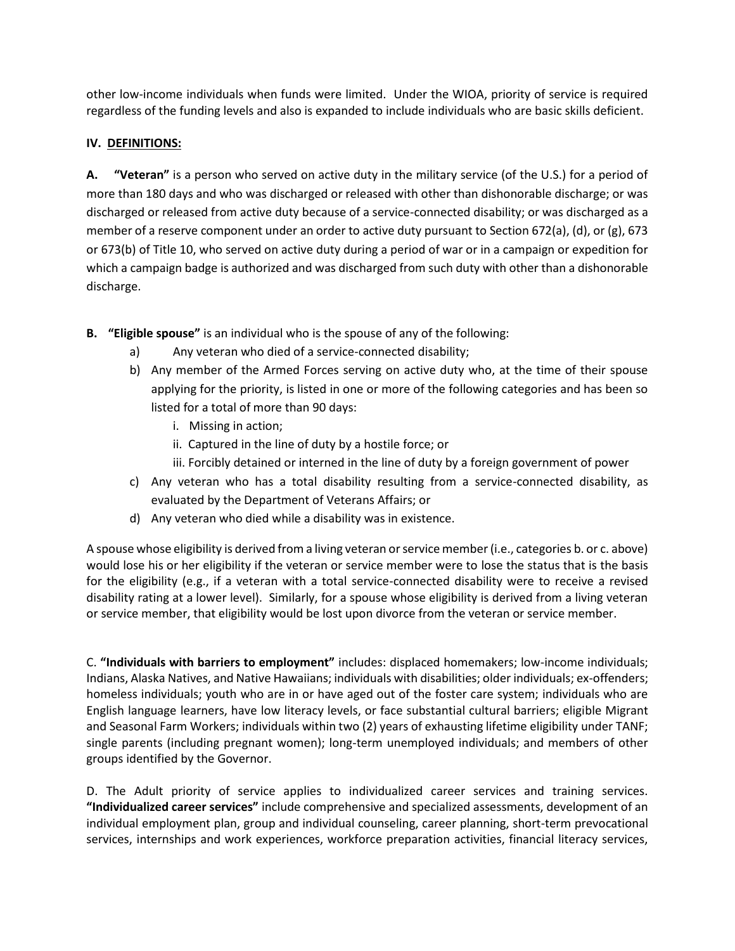other low-income individuals when funds were limited. Under the WIOA, priority of service is required regardless of the funding levels and also is expanded to include individuals who are basic skills deficient.

### **IV. DEFINITIONS:**

**A. "Veteran"** is a person who served on active duty in the military service (of the U.S.) for a period of more than 180 days and who was discharged or released with other than dishonorable discharge; or was discharged or released from active duty because of a service-connected disability; or was discharged as a member of a reserve component under an order to active duty pursuant to Section 672(a), (d), or (g), 673 or 673(b) of Title 10, who served on active duty during a period of war or in a campaign or expedition for which a campaign badge is authorized and was discharged from such duty with other than a dishonorable discharge.

- **B. "Eligible spouse"** is an individual who is the spouse of any of the following:
	- a) Any veteran who died of a service-connected disability;
	- b) Any member of the Armed Forces serving on active duty who, at the time of their spouse applying for the priority, is listed in one or more of the following categories and has been so listed for a total of more than 90 days:
		- i. Missing in action;
		- ii. Captured in the line of duty by a hostile force; or
		- iii. Forcibly detained or interned in the line of duty by a foreign government of power
	- c) Any veteran who has a total disability resulting from a service-connected disability, as evaluated by the Department of Veterans Affairs; or
	- d) Any veteran who died while a disability was in existence.

A spouse whose eligibility is derived from a living veteran or service member (i.e., categories b. or c. above) would lose his or her eligibility if the veteran or service member were to lose the status that is the basis for the eligibility (e.g., if a veteran with a total service-connected disability were to receive a revised disability rating at a lower level). Similarly, for a spouse whose eligibility is derived from a living veteran or service member, that eligibility would be lost upon divorce from the veteran or service member.

C. **"Individuals with barriers to employment"** includes: displaced homemakers; low-income individuals; Indians, Alaska Natives, and Native Hawaiians; individuals with disabilities; older individuals; ex-offenders; homeless individuals; youth who are in or have aged out of the foster care system; individuals who are English language learners, have low literacy levels, or face substantial cultural barriers; eligible Migrant and Seasonal Farm Workers; individuals within two (2) years of exhausting lifetime eligibility under TANF; single parents (including pregnant women); long-term unemployed individuals; and members of other groups identified by the Governor.

D. The Adult priority of service applies to individualized career services and training services. **"Individualized career services"** include comprehensive and specialized assessments, development of an individual employment plan, group and individual counseling, career planning, short-term prevocational services, internships and work experiences, workforce preparation activities, financial literacy services,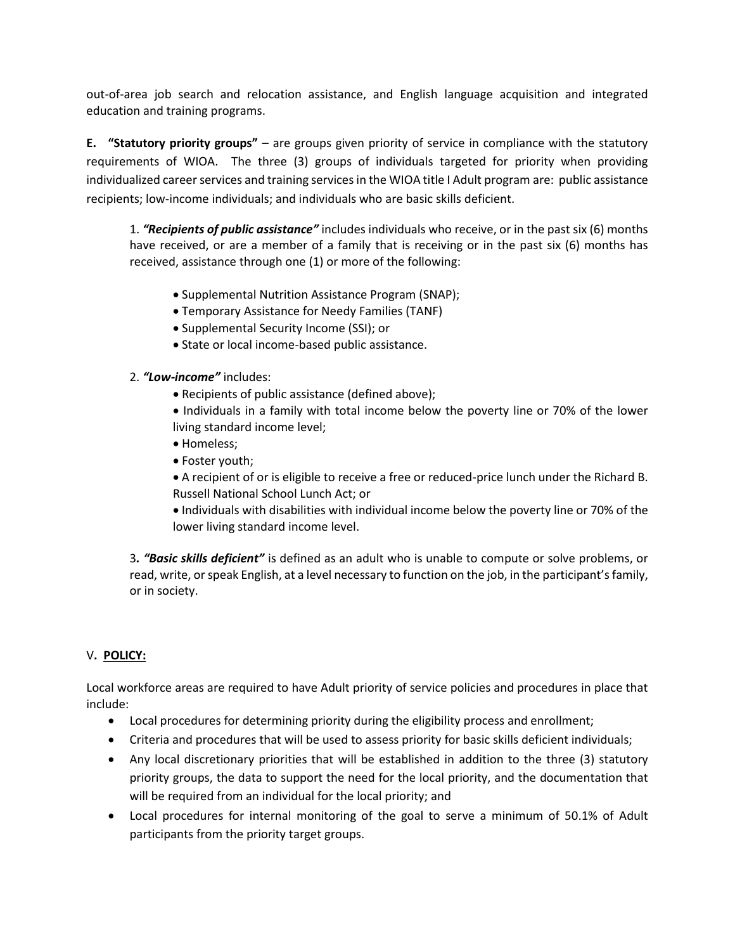out-of-area job search and relocation assistance, and English language acquisition and integrated education and training programs.

**E. "Statutory priority groups"** – are groups given priority of service in compliance with the statutory requirements of WIOA. The three (3) groups of individuals targeted for priority when providing individualized career services and training services in the WIOA title I Adult program are: public assistance recipients; low-income individuals; and individuals who are basic skills deficient.

1. *"Recipients of public assistance"* includes individuals who receive, or in the past six (6) months have received, or are a member of a family that is receiving or in the past six (6) months has received, assistance through one (1) or more of the following:

- Supplemental Nutrition Assistance Program (SNAP);
- Temporary Assistance for Needy Families (TANF)
- Supplemental Security Income (SSI); or
- State or local income-based public assistance.
- 2. *"Low-income"* includes:
	- Recipients of public assistance (defined above);
	- Individuals in a family with total income below the poverty line or 70% of the lower living standard income level;
	- Homeless;
	- Foster youth;

 A recipient of or is eligible to receive a free or reduced-price lunch under the Richard B. Russell National School Lunch Act; or

 Individuals with disabilities with individual income below the poverty line or 70% of the lower living standard income level.

3*. "Basic skills deficient"* is defined as an adult who is unable to compute or solve problems, or read, write, or speak English, at a level necessary to function on the job, in the participant's family, or in society.

## V**. POLICY:**

Local workforce areas are required to have Adult priority of service policies and procedures in place that include:

- Local procedures for determining priority during the eligibility process and enrollment;
- Criteria and procedures that will be used to assess priority for basic skills deficient individuals;
- Any local discretionary priorities that will be established in addition to the three (3) statutory priority groups, the data to support the need for the local priority, and the documentation that will be required from an individual for the local priority; and
- Local procedures for internal monitoring of the goal to serve a minimum of 50.1% of Adult participants from the priority target groups.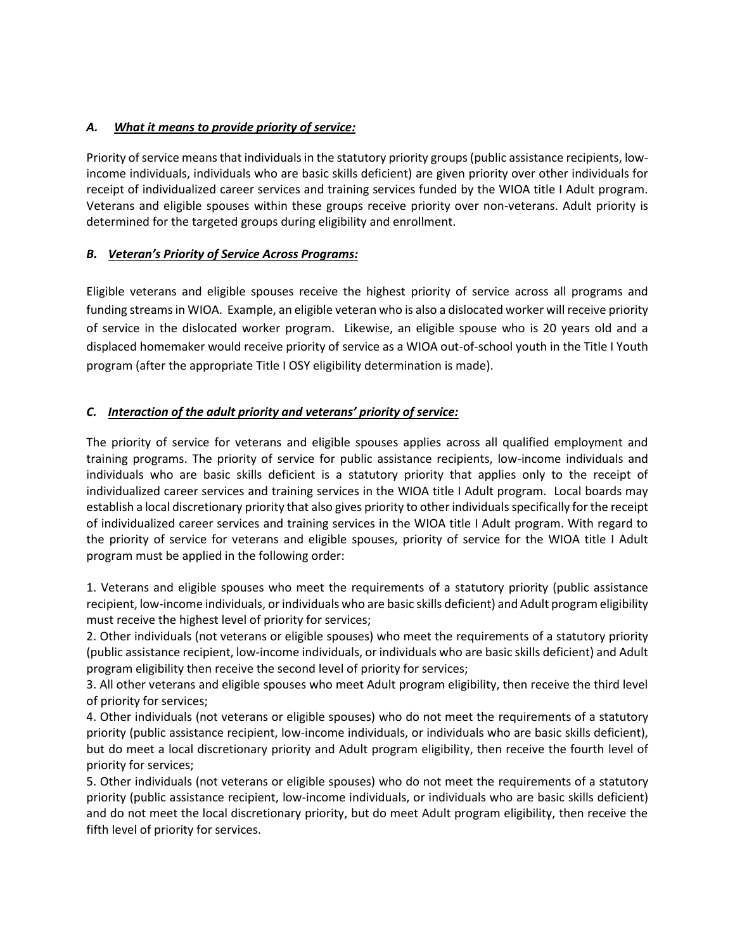## *A. What it means to provide priority of service:*

Priority of service means that individuals in the statutory priority groups (public assistance recipients, lowincome individuals, individuals who are basic skills deficient) are given priority over other individuals for receipt of individualized career services and training services funded by the WIOA title I Adult program. Veterans and eligible spouses within these groups receive priority over non-veterans. Adult priority is determined for the targeted groups during eligibility and enrollment.

## *B. Veteran's Priority of Service Across Programs:*

Eligible veterans and eligible spouses receive the highest priority of service across all programs and funding streams in WIOA. Example, an eligible veteran who is also a dislocated worker will receive priority of service in the dislocated worker program. Likewise, an eligible spouse who is 20 years old and a displaced homemaker would receive priority of service as a WIOA out-of-school youth in the Title I Youth program (after the appropriate Title I OSY eligibility determination is made).

## *C. Interaction of the adult priority and veterans' priority of service:*

The priority of service for veterans and eligible spouses applies across all qualified employment and training programs. The priority of service for public assistance recipients, low-income individuals and individuals who are basic skills deficient is a statutory priority that applies only to the receipt of individualized career services and training services in the WIOA title I Adult program. Local boards may establish a local discretionary priority that also gives priority to other individuals specifically for the receipt of individualized career services and training services in the WIOA title I Adult program. With regard to the priority of service for veterans and eligible spouses, priority of service for the WIOA title I Adult program must be applied in the following order:

1. Veterans and eligible spouses who meet the requirements of a statutory priority (public assistance recipient, low-income individuals, or individuals who are basic skills deficient) and Adult program eligibility must receive the highest level of priority for services;

2. Other individuals (not veterans or eligible spouses) who meet the requirements of a statutory priority (public assistance recipient, low-income individuals, or individuals who are basic skills deficient) and Adult program eligibility then receive the second level of priority for services;

3. All other veterans and eligible spouses who meet Adult program eligibility, then receive the third level of priority for services;

4. Other individuals (not veterans or eligible spouses) who do not meet the requirements of a statutory priority (public assistance recipient, low-income individuals, or individuals who are basic skills deficient), but do meet a local discretionary priority and Adult program eligibility, then receive the fourth level of priority for services;

5. Other individuals (not veterans or eligible spouses) who do not meet the requirements of a statutory priority (public assistance recipient, low-income individuals, or individuals who are basic skills deficient) and do not meet the local discretionary priority, but do meet Adult program eligibility, then receive the fifth level of priority for services.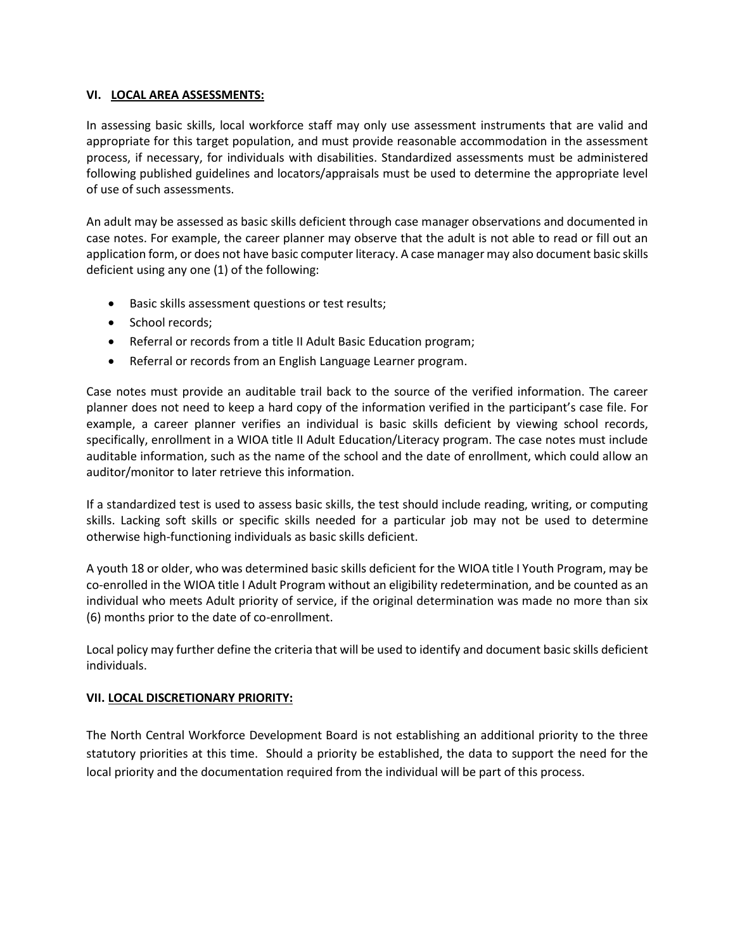### **VI. LOCAL AREA ASSESSMENTS:**

In assessing basic skills, local workforce staff may only use assessment instruments that are valid and appropriate for this target population, and must provide reasonable accommodation in the assessment process, if necessary, for individuals with disabilities. Standardized assessments must be administered following published guidelines and locators/appraisals must be used to determine the appropriate level of use of such assessments.

An adult may be assessed as basic skills deficient through case manager observations and documented in case notes. For example, the career planner may observe that the adult is not able to read or fill out an application form, or does not have basic computer literacy. A case manager may also document basic skills deficient using any one (1) of the following:

- Basic skills assessment questions or test results;
- School records;
- Referral or records from a title II Adult Basic Education program;
- Referral or records from an English Language Learner program.

Case notes must provide an auditable trail back to the source of the verified information. The career planner does not need to keep a hard copy of the information verified in the participant's case file. For example, a career planner verifies an individual is basic skills deficient by viewing school records, specifically, enrollment in a WIOA title II Adult Education/Literacy program. The case notes must include auditable information, such as the name of the school and the date of enrollment, which could allow an auditor/monitor to later retrieve this information.

If a standardized test is used to assess basic skills, the test should include reading, writing, or computing skills. Lacking soft skills or specific skills needed for a particular job may not be used to determine otherwise high-functioning individuals as basic skills deficient.

A youth 18 or older, who was determined basic skills deficient for the WIOA title I Youth Program, may be co-enrolled in the WIOA title I Adult Program without an eligibility redetermination, and be counted as an individual who meets Adult priority of service, if the original determination was made no more than six (6) months prior to the date of co-enrollment.

Local policy may further define the criteria that will be used to identify and document basic skills deficient individuals.

### **VII. LOCAL DISCRETIONARY PRIORITY:**

The North Central Workforce Development Board is not establishing an additional priority to the three statutory priorities at this time. Should a priority be established, the data to support the need for the local priority and the documentation required from the individual will be part of this process.